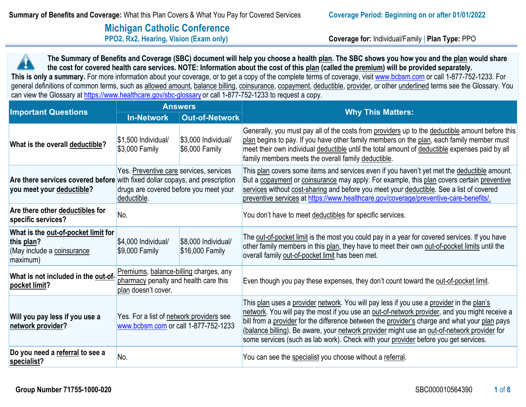# **Michigan Catholic Conference**<br>**PPO2, Rx2, Hearing, Vision (Exam only)**

**Coverage for: Individual/Family | Plan Type: PPO** 

**The Summary of Benefits and Coverage (SBC) document will help you choose a health plan. The SBC shows you how you and the plan would share the cost for covered health care services. NOTE: Information about the cost of this plan (called the premium) will be provided separately.**  This is only a summary. For more information about your coverage, or to get a copy of the complete terms of coverage, visit [www.bcbsm.com](http://www.bcbsm.com/) or call 1-877-752-1233. For general definitions of common terms, such as allowed amount, balance billing, coinsurance, copayment, deductible, provider, or other underlined terms see the Glossary. You can view the Glossary a[t https://www.healthcare.gov/sbc-glossary](https://www.healthcare.gov/sbc-glossary) or call 1-877-752-1233 to request a copy.

|                                                                                             |                                                                                                                                                                                  | <b>Answers</b>                         |                                                                                                                                                                                                                                                                                                                                                                                                                                                                                  |  |
|---------------------------------------------------------------------------------------------|----------------------------------------------------------------------------------------------------------------------------------------------------------------------------------|----------------------------------------|----------------------------------------------------------------------------------------------------------------------------------------------------------------------------------------------------------------------------------------------------------------------------------------------------------------------------------------------------------------------------------------------------------------------------------------------------------------------------------|--|
| <b>Important Questions</b>                                                                  | <b>In-Network</b>                                                                                                                                                                | <b>Out-of-Network</b>                  | <b>Why This Matters:</b>                                                                                                                                                                                                                                                                                                                                                                                                                                                         |  |
| What is the overall deductible?                                                             | $$1,500$ Individual/<br>$$3,000$ Family                                                                                                                                          | \$3,000 Individual/<br>$$6,000$ Family | Generally, you must pay all of the costs from providers up to the deductible amount before this<br>plan begins to pay. If you have other family members on the plan, each family member must<br>meet their own individual deductible until the total amount of deductible expenses paid by all<br>family members meets the overall family deductible.                                                                                                                            |  |
| you meet your deductible?                                                                   | Yes. Preventive care services, services<br>Are there services covered before with fixed dollar copays, and prescription<br>drugs are covered before you meet your<br>deductible. |                                        | This plan covers some items and services even if you haven't yet met the deductible amount.<br>But a copayment or coinsurance may apply. For example, this plan covers certain preventive<br>services without cost-sharing and before you meet your deductible. See a list of covered<br>preventive services at https://www.healthcare.gov/coverage/preventive-care-benefits/.                                                                                                   |  |
| Are there other deductibles for<br>specific services?                                       | No.                                                                                                                                                                              |                                        | You don't have to meet deductibles for specific services.                                                                                                                                                                                                                                                                                                                                                                                                                        |  |
| What is the out-of-pocket limit for<br>this plan?<br>(May include a coinsurance<br>maximum) | \$4,000 Individual/<br>\$9,000 Family                                                                                                                                            | \$8,000 Individual/<br>\$16,000 Family | The out-of-pocket limit is the most you could pay in a year for covered services. If you have<br>other family members in this plan, they have to meet their own out-of-pocket limits until the<br>overall family out-of-pocket limit has been met.                                                                                                                                                                                                                               |  |
| What is not included in the out-of-<br>pocket limit?                                        | Premiums, balance-billing charges, any<br>pharmacy penalty and health care this<br>plan doesn't cover.                                                                           |                                        | Even though you pay these expenses, they don't count toward the out-of-pocket limit.                                                                                                                                                                                                                                                                                                                                                                                             |  |
| Will you pay less if you use a<br>network provider?                                         | Yes. For a list of network providers see<br>www.bcbsm.com or call 1-877-752-1233                                                                                                 |                                        | This plan uses a provider network. You will pay less if you use a provider in the plan's<br>network. You will pay the most if you use an out-of-network provider, and you might receive a<br>bill from a provider for the difference between the provider's charge and what your plan pays<br>(balance billing). Be aware, your network provider might use an out-of-network provider for<br>some services (such as lab work). Check with your provider before you get services. |  |
| Do you need a referral to see a<br>specialist?                                              | No.                                                                                                                                                                              |                                        | You can see the specialist you choose without a referral.                                                                                                                                                                                                                                                                                                                                                                                                                        |  |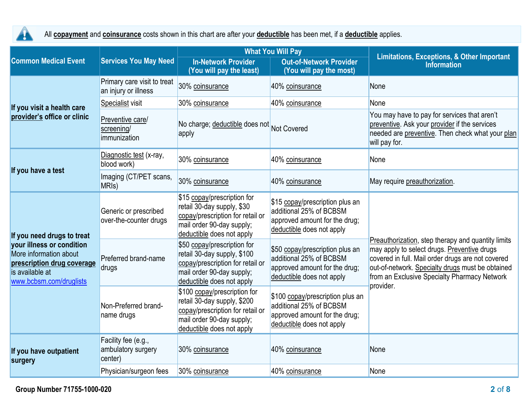

All **copayment** and **coinsurance** costs shown in this chart are after your **deductible** has been met, if a **deductible** applies.

|                                                                                                                                                               |                                                      |                                                                                                                                                           | <b>What You Will Pay</b>                                                                                                  | <b>Limitations, Exceptions, &amp; Other Important</b><br><b>Information</b>                                                                                                                                                                                             |  |
|---------------------------------------------------------------------------------------------------------------------------------------------------------------|------------------------------------------------------|-----------------------------------------------------------------------------------------------------------------------------------------------------------|---------------------------------------------------------------------------------------------------------------------------|-------------------------------------------------------------------------------------------------------------------------------------------------------------------------------------------------------------------------------------------------------------------------|--|
| <b>Common Medical Event</b>                                                                                                                                   | <b>Services You May Need</b>                         | <b>In-Network Provider</b><br>(You will pay the least)                                                                                                    | <b>Out-of-Network Provider</b><br>(You will pay the most)                                                                 |                                                                                                                                                                                                                                                                         |  |
|                                                                                                                                                               | Primary care visit to treat<br>an injury or illness  | 30% coinsurance                                                                                                                                           | 40% coinsurance                                                                                                           | None                                                                                                                                                                                                                                                                    |  |
| If you visit a health care                                                                                                                                    | Specialist visit                                     | 30% coinsurance                                                                                                                                           | 40% coinsurance                                                                                                           | None                                                                                                                                                                                                                                                                    |  |
| provider's office or clinic                                                                                                                                   | Preventive care/<br>screening/<br>immunization       | No charge; deductible does not Not Covered<br>apply                                                                                                       |                                                                                                                           | You may have to pay for services that aren't<br>preventive. Ask your provider if the services<br>needed are preventive. Then check what your plan<br>will pay for.                                                                                                      |  |
|                                                                                                                                                               | Diagnostic test (x-ray,<br>blood work)               | 30% coinsurance                                                                                                                                           | 40% coinsurance                                                                                                           | None                                                                                                                                                                                                                                                                    |  |
| If you have a test                                                                                                                                            | Imaging (CT/PET scans,<br>MRI <sub>s</sub> )         | 30% coinsurance                                                                                                                                           | 40% coinsurance                                                                                                           | May require preauthorization.                                                                                                                                                                                                                                           |  |
| If you need drugs to treat<br>your illness or condition<br>More information about<br>prescription drug coverage<br>is available at<br>www.bcbsm.com/druglists | Generic or prescribed<br>over-the-counter drugs      | \$15 copay/prescription for<br>retail 30-day supply, \$30<br>copay/prescription for retail or<br>mail order 90-day supply;<br>deductible does not apply   | \$15 copay/prescription plus an<br>additional 25% of BCBSM<br>approved amount for the drug;<br>deductible does not apply  |                                                                                                                                                                                                                                                                         |  |
|                                                                                                                                                               | Preferred brand-name<br>drugs                        | \$50 copay/prescription for<br>retail 30-day supply, \$100<br>copay/prescription for retail or<br>mail order 90-day supply;<br>deductible does not apply  | \$50 copay/prescription plus an<br>additional 25% of BCBSM<br>approved amount for the drug;<br>deductible does not apply  | Preauthorization, step therapy and quantity limits<br>may apply to select drugs. Preventive drugs<br>covered in full. Mail order drugs are not covered<br>out-of-network. Specialty drugs must be obtained<br>from an Exclusive Specialty Pharmacy Network<br>provider. |  |
|                                                                                                                                                               | Non-Preferred brand-<br>name drugs                   | \$100 copay/prescription for<br>retail 30-day supply, \$200<br>copay/prescription for retail or<br>mail order 90-day supply;<br>deductible does not apply | \$100 copay/prescription plus an<br>additional 25% of BCBSM<br>approved amount for the drug;<br>deductible does not apply |                                                                                                                                                                                                                                                                         |  |
| If you have outpatient<br>surgery                                                                                                                             | Facility fee (e.g.,<br>ambulatory surgery<br>center) | 30% coinsurance                                                                                                                                           | 40% coinsurance                                                                                                           | None                                                                                                                                                                                                                                                                    |  |
|                                                                                                                                                               | Physician/surgeon fees                               | 30% coinsurance                                                                                                                                           | 40% coinsurance                                                                                                           | None                                                                                                                                                                                                                                                                    |  |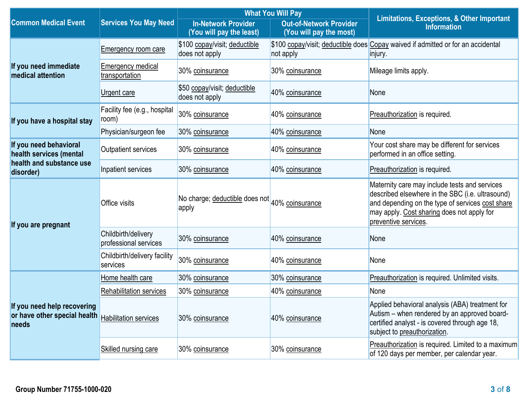|                                                                                            | <b>Services You May Need</b>                 |                                                         | <b>What You Will Pay</b>                                  | <b>Limitations, Exceptions, &amp; Other Important</b><br><b>Information</b>                                                                                                                                                 |  |
|--------------------------------------------------------------------------------------------|----------------------------------------------|---------------------------------------------------------|-----------------------------------------------------------|-----------------------------------------------------------------------------------------------------------------------------------------------------------------------------------------------------------------------------|--|
| <b>Common Medical Event</b>                                                                |                                              | <b>In-Network Provider</b><br>(You will pay the least)  | <b>Out-of-Network Provider</b><br>(You will pay the most) |                                                                                                                                                                                                                             |  |
|                                                                                            | <b>Emergency room care</b>                   | \$100 copay/visit; deductible<br>does not apply         | not apply                                                 | \$100 copay/visit; deductible does Copay waived if admitted or for an accidental<br>injury.                                                                                                                                 |  |
| If you need immediate<br>medical attention                                                 | <b>Emergency medical</b><br>transportation   | 30% coinsurance                                         | 30% coinsurance                                           | Mileage limits apply.                                                                                                                                                                                                       |  |
|                                                                                            | Urgent care                                  | \$50 copay/visit; deductible<br>does not apply          | 40% coinsurance                                           | None                                                                                                                                                                                                                        |  |
| If you have a hospital stay                                                                | Facility fee (e.g., hospital<br>room)        | 30% coinsurance                                         | 40% coinsurance                                           | Preauthorization is required.                                                                                                                                                                                               |  |
|                                                                                            | Physician/surgeon fee                        | 30% coinsurance                                         | 40% coinsurance                                           | None                                                                                                                                                                                                                        |  |
| If you need behavioral<br>health services (mental                                          | Outpatient services                          | 30% coinsurance                                         | 40% coinsurance                                           | Your cost share may be different for services<br>performed in an office setting.                                                                                                                                            |  |
| health and substance use<br>disorder)                                                      | Inpatient services                           | 30% coinsurance                                         | 40% coinsurance                                           | Preauthorization is required.                                                                                                                                                                                               |  |
| If you are pregnant                                                                        | <b>Office visits</b>                         | No charge; deductible does not 40% coinsurance<br>apply |                                                           | Maternity care may include tests and services<br>described elsewhere in the SBC (i.e. ultrasound)<br>and depending on the type of services cost share<br>may apply. Cost sharing does not apply for<br>preventive services. |  |
|                                                                                            | Childbirth/delivery<br>professional services | 30% coinsurance                                         | 40% coinsurance                                           | None                                                                                                                                                                                                                        |  |
|                                                                                            | Childbirth/delivery facility<br>services     | 30% coinsurance                                         | 40% coinsurance                                           | None                                                                                                                                                                                                                        |  |
|                                                                                            | Home health care                             | 30% coinsurance                                         | 30% coinsurance                                           | Preauthorization is required. Unlimited visits.                                                                                                                                                                             |  |
| If you need help recovering<br>or have other special health Habilitation services<br>needs | <b>Rehabilitation services</b>               | 30% coinsurance                                         | 40% coinsurance                                           | None                                                                                                                                                                                                                        |  |
|                                                                                            |                                              | 30% coinsurance                                         | 40% coinsurance                                           | Applied behavioral analysis (ABA) treatment for<br>Autism – when rendered by an approved board-<br>certified analyst - is covered through age 18,<br>subject to preauthorization.                                           |  |
|                                                                                            | Skilled nursing care                         | 30% coinsurance                                         | 30% coinsurance                                           | Preauthorization is required. Limited to a maximum<br>of 120 days per member, per calendar year.                                                                                                                            |  |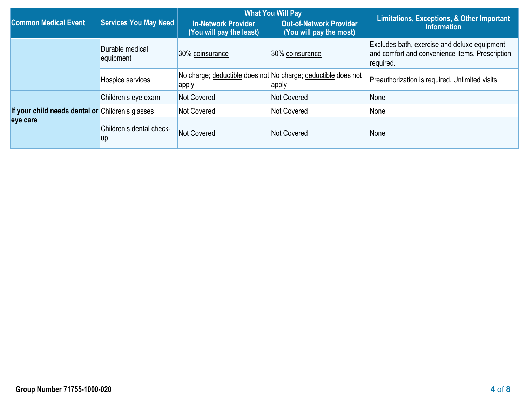|                                                  |                                       |                                                        | <b>What You Will Pay</b>                                               | Limitations, Exceptions, & Other Important<br><b>Information</b>                                             |  |
|--------------------------------------------------|---------------------------------------|--------------------------------------------------------|------------------------------------------------------------------------|--------------------------------------------------------------------------------------------------------------|--|
| <b>Common Medical Event</b>                      | Services You May Need                 | <b>In-Network Provider</b><br>(You will pay the least) | <b>Out-of-Network Provider</b><br>(You will pay the most)              |                                                                                                              |  |
|                                                  | Durable medical<br>equipment          | 30% coinsurance                                        | 30% coinsurance                                                        | Excludes bath, exercise and deluxe equipment<br>and comfort and convenience items. Prescription<br>required. |  |
|                                                  | Hospice services                      | apply                                                  | No charge; deductible does not No charge; deductible does not<br>apply | Preauthorization is required. Unlimited visits.                                                              |  |
|                                                  | Children's eye exam                   | Not Covered                                            | Not Covered                                                            | None                                                                                                         |  |
| If your child needs dental or Children's glasses |                                       | <b>Not Covered</b>                                     | Not Covered                                                            | None                                                                                                         |  |
| eye care                                         | Children's dental check-<br><b>up</b> | Not Covered                                            | Not Covered                                                            | None                                                                                                         |  |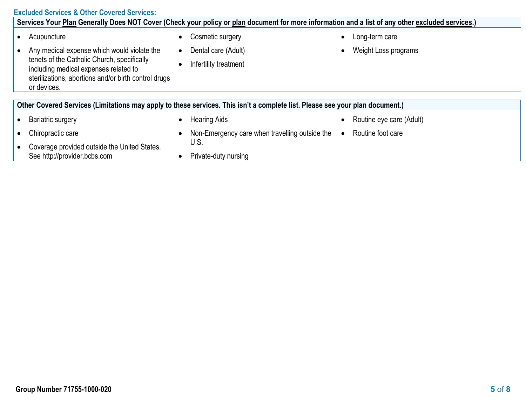#### **Excluded Services & Other Covered Services:**

| Services Your Plan Generally Does NOT Cover (Check your policy or plan document for more information and a list of any other excluded services.)            |           |                                                |           |                          |  |
|-------------------------------------------------------------------------------------------------------------------------------------------------------------|-----------|------------------------------------------------|-----------|--------------------------|--|
| Acupuncture                                                                                                                                                 |           | Cosmetic surgery                               | $\bullet$ | Long-term care           |  |
| Any medical expense which would violate the                                                                                                                 | $\bullet$ | Dental care (Adult)                            |           | Weight Loss programs     |  |
| tenets of the Catholic Church, specifically<br>including medical expenses related to<br>sterilizations, abortions and/or birth control drugs<br>or devices. |           | Infertility treatment                          |           |                          |  |
|                                                                                                                                                             |           |                                                |           |                          |  |
| Other Covered Services (Limitations may apply to these services. This isn't a complete list. Please see your plan document.)                                |           |                                                |           |                          |  |
| Bariatric surgery                                                                                                                                           |           | <b>Hearing Aids</b>                            |           | Routine eye care (Adult) |  |
| Chiropractic care                                                                                                                                           |           | Non-Emergency care when travelling outside the | $\bullet$ | Routine foot care        |  |
| Coverage provided outside the United States.                                                                                                                |           | U.S.                                           |           |                          |  |
| See http://provider.bcbs.com                                                                                                                                |           | Private-duty nursing                           |           |                          |  |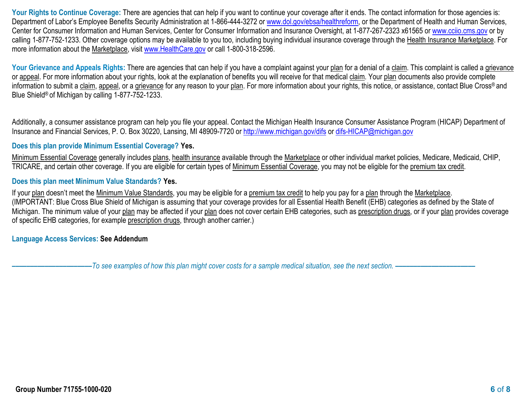Your Rights to Continue Coverage: There are agencies that can help if you want to continue your coverage after it ends. The contact information for those agencies is: Department of Labor's Employee Benefits Security Administration at 1-866-444-3272 or [www.dol.gov/ebsa/healthreform,](http://www.dol.gov/ebsa/healthreform) or the Department of Health and Human Services, Center for Consumer Information and Human Services, Center for Consumer Information and Insurance Oversight, at 1-877-267-2323 x61565 or [www.cciio.cms.gov](http://www.cciio.cms.gov/) or by calling 1-877-752-1233. Other coverage options may be available to you too, including buying individual insurance coverage through the Health Insurance Marketplace. For more information about the Marketplace, visit [www.HealthCare.gov](http://www.healthcare.gov/) or call 1-800-318-2596.

Your Grievance and Appeals Rights: There are agencies that can help if you have a complaint against your plan for a denial of a claim. This complaint is called a grievance or appeal. For more information about your rights, look at the explanation of benefits you will receive for that medical claim. Your plan documents also provide complete information to submit a claim, appeal, or a grievance for any reason to your plan. For more information about your rights, this notice, or assistance, contact Blue Cross® and Blue Shield® of Michigan by calling 1-877-752-1233.

Additionally, a consumer assistance program can help you file your appeal. Contact the Michigan Health Insurance Consumer Assistance Program (HICAP) Department of Insurance and Financial Services, P. O. Box 30220, Lansing, MI 48909-7720 or<http://www.michigan.gov/difs> or [difs-HICAP@michigan.gov](mailto:difs-HICAP@michigan.gov)

#### **Does this plan provide Minimum Essential Coverage? Yes.**

Minimum Essential Coverage generally includes plans, health insurance available through the Marketplace or other individual market policies, Medicare, Medicaid, CHIP, TRICARE, and certain other coverage. If you are eligible for certain types of Minimum Essential Coverage, you may not be eligible for the premium tax credit.

#### **Does this plan meet Minimum Value Standards? Yes.**

If your plan doesn't meet the Minimum Value Standards, you may be eligible for a premium tax credit to help you pay for a plan through the Marketplace. (IMPORTANT: Blue Cross Blue Shield of Michigan is assuming that your coverage provides for all Essential Health Benefit (EHB) categories as defined by the State of Michigan. The minimum value of your plan may be affected if your plan does not cover certain EHB categories, such as prescription drugs, or if your plan provides coverage of specific EHB categories, for example prescription drugs, through another carrier.)

**Language Access Services: See Addendum**

**––––––––––––––––––––––***To see examples of how this plan might cover costs for a sample medical situation, see the next section. –––––––––––***–––––––––––**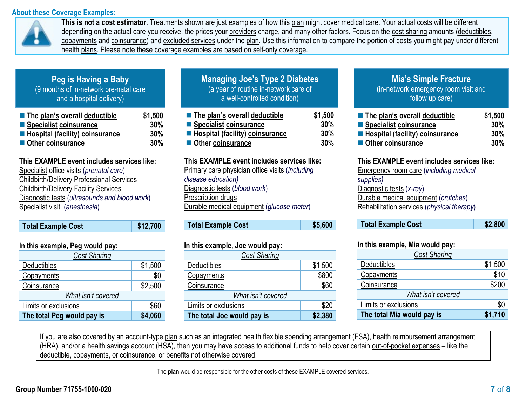#### **About these Coverage Examples:**



**This is not a cost estimator.** Treatments shown are just examples of how this plan might cover medical care. Your actual costs will be different depending on the actual care you receive, the prices your providers charge, and many other factors. Focus on the cost sharing amounts (deductibles, copayments and coinsurance) and excluded services under the plan. Use this information to compare the portion of costs you might pay under different health plans. Please note these coverage examples are based on self-only coverage.

### **Peg is Having a Baby** (9 months of in-network pre-natal care and a hospital delivery)

| $\blacksquare$ The plan's overall deductible | \$1,500 |
|----------------------------------------------|---------|
| ■ Specialist coinsurance                     | 30%     |
| Hospital (facility) coinsurance              | 30%     |
| Other coinsurance                            | 30%     |

#### **This EXAMPLE event includes services like:**

 Specialist office visits (*prenatal care*) Childbirth/Delivery Professional Services Childbirth/Delivery Facility Services Diagnostic tests (*ultrasounds and blood work*) Specialist visit (*anesthesia*)

| <b>Total Example Cost</b>      | \$12,700 |
|--------------------------------|----------|
| In this ovemple. Dog would now |          |

| III GIIS CARIIIDIC, I CY WOULD DAY.   |         |  |  |  |
|---------------------------------------|---------|--|--|--|
| <b>Cost Sharing</b>                   |         |  |  |  |
| <b>Deductibles</b>                    | \$1,500 |  |  |  |
| Copayments                            | \$0     |  |  |  |
| Coinsurance                           | \$2,500 |  |  |  |
| What isn't covered                    |         |  |  |  |
| \$60<br>Limits or exclusions          |         |  |  |  |
| \$4,060<br>The total Peg would pay is |         |  |  |  |

| <b>Managing Joe's Type 2 Diabetes</b>     |     |    |
|-------------------------------------------|-----|----|
| (a year of routine in-network care of     |     |    |
| a well-controlled condition)              |     |    |
| Alditoural deductible اThe nlan's overall | \$1 | -5 |

| $\blacksquare$ The plan's overall deductible | \$1,500 |
|----------------------------------------------|---------|
| ■ Specialist coinsurance                     | $30\%$  |
| ■ Hospital (facility) coinsurance            | 30%     |
| Other coinsurance                            | 30%     |

#### **This EXAMPLE event includes services like:**

Primary care physician office visits (*including disease education)* Diagnostic tests (*blood work*) Prescription drugs Durable medical equipment (*glucose meter*)

| <b>Total Example Cost</b> | \$5,600 |
|---------------------------|---------|
|---------------------------|---------|

#### **In this example, Joe would pay:**

| <b>Cost Sharing</b>        |         |  |  |
|----------------------------|---------|--|--|
| Deductibles                | \$1,500 |  |  |
| Copayments                 | \$800   |  |  |
| Coinsurance                | \$60    |  |  |
| What isn't covered         |         |  |  |
| Limits or exclusions       | \$20    |  |  |
| The total Joe would pay is | \$2,380 |  |  |

## **Mia's Simple Fracture**

**(**in-network emergency room visit and follow up care)

| $\blacksquare$ The plan's overall deductible | \$1,500 |
|----------------------------------------------|---------|
| ■ Specialist coinsurance                     | 30%     |
| Hospital (facility) coinsurance              | 30%     |
| Other coinsurance                            | 30%     |

## **This EXAMPLE event includes services like:**

Emergency room care (*including medical supplies)* Diagnostic tests (*x-ray*) Durable medical equipment (*crutches*) Rehabilitation services (*physical therapy*)

#### **In this example, Mia would pay:**

| <b>Cost Sharing</b>        |         |
|----------------------------|---------|
| <b>Deductibles</b>         | \$1,500 |
| Copayments                 | \$10    |
| Coinsurance                | \$200   |
| What isn't covered         |         |
| Limits or exclusions       | \$0     |
| The total Mia would pay is | \$1,710 |

If you are also covered by an account-type plan such as an integrated health flexible spending arrangement (FSA), health reimbursement arrangement (HRA), and/or a health savings account (HSA), then you may have access to additional funds to help cover certain out-of-pocket expenses – like the deductible, copayments, or coinsurance, or benefits not otherwise covered.

The **plan** would be responsible for the other costs of these EXAMPLE covered services.